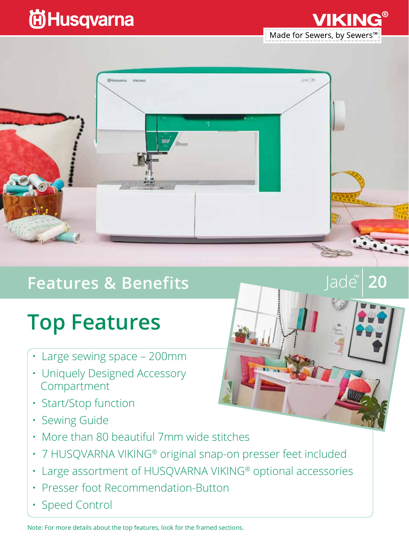## **尚Husqvarna**

Made for Sewers, by Sewers<sup>™</sup>

lade™

20



### **Features & Benefits**

# **Top Features**

- Large sewing space 200mm
- Uniquely Designed Accessory Compartment
- Start/Stop function
- Sewing Guide
- More than 80 beautiful 7mm wide stitches
- 7 HUSQVARNA VIKING® original snap-on presser feet included
- Large assortment of HUSQVARNA VIKING® optional accessories
- Presser foot Recommendation-Button
- Speed Control

Note: For more details about the top features, look for the framed sections.